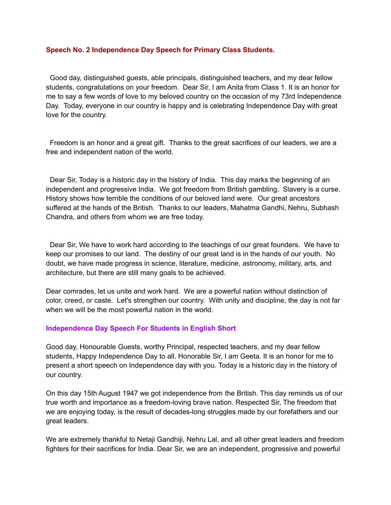#### **Speech No. 2 Independence Day Speech for Primary Class Students.**

Good day, distinguished guests, able principals, distinguished teachers, and my dear fellow students, congratulations on your freedom. Dear Sir, I am Anita from Class 1. It is an honor for me to say a few words of love to my beloved country on the occasion of my 73rd Independence Day. Today, everyone in our country is happy and is celebrating Independence Day with great love for the country.

Freedom is an honor and a great gift. Thanks to the great sacrifices of our leaders, we are a free and independent nation of the world.

Dear Sir, Today is a historic day in the history of India. This day marks the beginning of an independent and progressive India. We got freedom from British gambling. Slavery is a curse. History shows how terrible the conditions of our beloved land were. Our great ancestors suffered at the hands of the British. Thanks to our leaders, Mahatma Gandhi, Nehru, Subhash Chandra, and others from whom we are free today.

Dear Sir, We have to work hard according to the teachings of our great founders. We have to keep our promises to our land. The destiny of our great land is in the hands of our youth. No doubt, we have made progress in science, literature, medicine, astronomy, military, arts, and architecture, but there are still many goals to be achieved.

Dear comrades, let us unite and work hard. We are a powerful nation without distinction of color, creed, or caste. Let's strengthen our country. With unity and discipline, the day is not far when we will be the most powerful nation in the world.

#### **Independence Day Speech For Students in English Short**

Good day, Honourable Guests, worthy Principal, respected teachers, and my dear fellow students, Happy Independence Day to all. Honorable Sir, I am Geeta. It is an honor for me to present a short speech on Independence day with you. Today is a historic day in the history of our country.

On this day 15th August 1947 we got independence from the British. This day reminds us of our true worth and importance as a freedom-loving brave nation. Respected Sir, The freedom that we are enjoying today, is the result of decades-long struggles made by our forefathers and our great leaders.

We are extremely thankful to Netaji Gandhiji, Nehru Lal, and all other great leaders and freedom fighters for their sacrifices for India. Dear Sir, we are an independent, progressive and powerful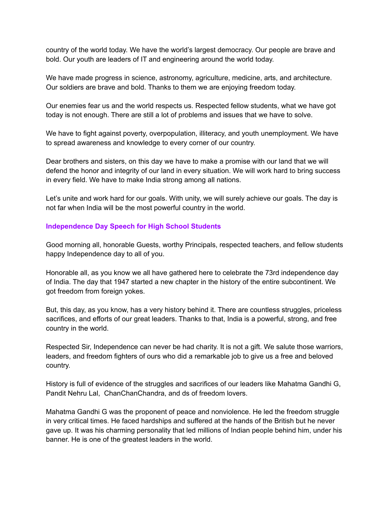country of the world today. We have the world's largest democracy. Our people are brave and bold. Our youth are leaders of IT and engineering around the world today.

We have made progress in science, astronomy, agriculture, medicine, arts, and architecture. Our soldiers are brave and bold. Thanks to them we are enjoying freedom today.

Our enemies fear us and the world respects us. Respected fellow students, what we have got today is not enough. There are still a lot of problems and issues that we have to solve.

We have to fight against poverty, overpopulation, illiteracy, and youth unemployment. We have to spread awareness and knowledge to every corner of our country.

Dear brothers and sisters, on this day we have to make a promise with our land that we will defend the honor and integrity of our land in every situation. We will work hard to bring success in every field. We have to make India strong among all nations.

Let's unite and work hard for our goals. With unity, we will surely achieve our goals. The day is not far when India will be the most powerful country in the world.

## **Independence Day Speech for High School Students**

Good morning all, honorable Guests, worthy Principals, respected teachers, and fellow students happy Independence day to all of you.

Honorable all, as you know we all have gathered here to celebrate the 73rd independence day of India. The day that 1947 started a new chapter in the history of the entire subcontinent. We got freedom from foreign yokes.

But, this day, as you know, has a very history behind it. There are countless struggles, priceless sacrifices, and efforts of our great leaders. Thanks to that, India is a powerful, strong, and free country in the world.

Respected Sir, Independence can never be had charity. It is not a gift. We salute those warriors, leaders, and freedom fighters of ours who did a remarkable job to give us a free and beloved country.

History is full of evidence of the struggles and sacrifices of our leaders like Mahatma Gandhi G, Pandit Nehru Lal, ChanChanChandra, and ds of freedom lovers.

Mahatma Gandhi G was the proponent of peace and nonviolence. He led the freedom struggle in very critical times. He faced hardships and suffered at the hands of the British but he never gave up. It was his charming personality that led millions of Indian people behind him, under his banner. He is one of the greatest leaders in the world.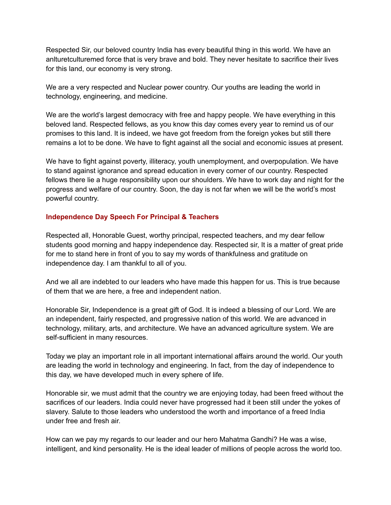Respected Sir, our beloved country India has every beautiful thing in this world. We have an anlturetculturemed force that is very brave and bold. They never hesitate to sacrifice their lives for this land, our economy is very strong.

We are a very respected and Nuclear power country. Our youths are leading the world in technology, engineering, and medicine.

We are the world's largest democracy with free and happy people. We have everything in this beloved land. Respected fellows, as you know this day comes every year to remind us of our promises to this land. It is indeed, we have got freedom from the foreign yokes but still there remains a lot to be done. We have to fight against all the social and economic issues at present.

We have to fight against poverty, illiteracy, youth unemployment, and overpopulation. We have to stand against ignorance and spread education in every corner of our country. Respected fellows there lie a huge responsibility upon our shoulders. We have to work day and night for the progress and welfare of our country. Soon, the day is not far when we will be the world's most powerful country.

# **Independence Day Speech For Principal & Teachers**

Respected all, Honorable Guest, worthy principal, respected teachers, and my dear fellow students good morning and happy independence day. Respected sir, It is a matter of great pride for me to stand here in front of you to say my words of thankfulness and gratitude on independence day. I am thankful to all of you.

And we all are indebted to our leaders who have made this happen for us. This is true because of them that we are here, a free and independent nation.

Honorable Sir, Independence is a great gift of God. It is indeed a blessing of our Lord. We are an independent, fairly respected, and progressive nation of this world. We are advanced in technology, military, arts, and architecture. We have an advanced agriculture system. We are self-sufficient in many resources.

Today we play an important role in all important international affairs around the world. Our youth are leading the world in technology and engineering. In fact, from the day of independence to this day, we have developed much in every sphere of life.

Honorable sir, we must admit that the country we are enjoying today, had been freed without the sacrifices of our leaders. India could never have progressed had it been still under the yokes of slavery. Salute to those leaders who understood the worth and importance of a freed India under free and fresh air.

How can we pay my regards to our leader and our hero Mahatma Gandhi? He was a wise, intelligent, and kind personality. He is the ideal leader of millions of people across the world too.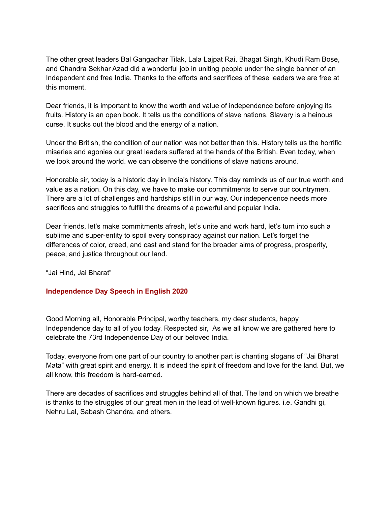The other great leaders Bal Gangadhar Tilak, Lala Lajpat Rai, Bhagat Singh, Khudi Ram Bose, and Chandra Sekhar Azad did a wonderful job in uniting people under the single banner of an Independent and free India. Thanks to the efforts and sacrifices of these leaders we are free at this moment.

Dear friends, it is important to know the worth and value of independence before enjoying its fruits. History is an open book. It tells us the conditions of slave nations. Slavery is a heinous curse. It sucks out the blood and the energy of a nation.

Under the British, the condition of our nation was not better than this. History tells us the horrific miseries and agonies our great leaders suffered at the hands of the British. Even today, when we look around the world. we can observe the conditions of slave nations around.

Honorable sir, today is a historic day in India's history. This day reminds us of our true worth and value as a nation. On this day, we have to make our commitments to serve our countrymen. There are a lot of challenges and hardships still in our way. Our independence needs more sacrifices and struggles to fulfill the dreams of a powerful and popular India.

Dear friends, let's make commitments afresh, let's unite and work hard, let's turn into such a sublime and super-entity to spoil every conspiracy against our nation. Let's forget the differences of color, creed, and cast and stand for the broader aims of progress, prosperity, peace, and justice throughout our land.

"Jai Hind, Jai Bharat"

## **Independence Day Speech in English 2020**

Good Morning all, Honorable Principal, worthy teachers, my dear students, happy Independence day to all of you today. Respected sir, As we all know we are gathered here to celebrate the 73rd Independence Day of our beloved India.

Today, everyone from one part of our country to another part is chanting slogans of "Jai Bharat Mata" with great spirit and energy. It is indeed the spirit of freedom and love for the land. But, we all know, this freedom is hard-earned.

There are decades of sacrifices and struggles behind all of that. The land on which we breathe is thanks to the struggles of our great men in the lead of well-known figures. i.e. Gandhi gi, Nehru Lal, Sabash Chandra, and others.